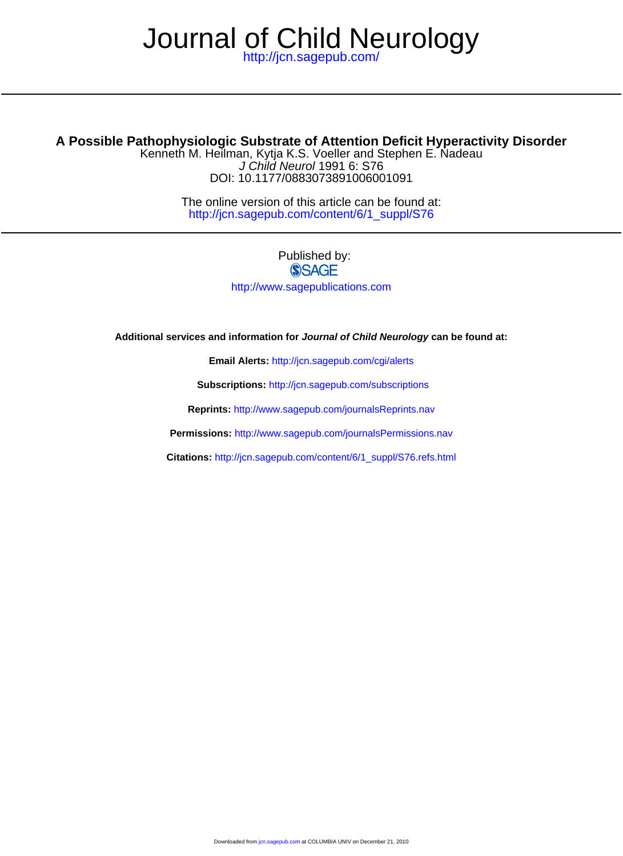# Journal of Child Neurology

<http://jcn.sagepub.com/>

# **A Possible Pathophysiologic Substrate of Attention Deficit Hyperactivity Disorder**

DOI: 10.1177/0883073891006001091 J Child Neurol 1991 6: S76 Kenneth M. Heilman, Kytja K.S. Voeller and Stephen E. Nadeau

> [http://jcn.sagepub.com/content/6/1\\_suppl/S76](http://jcn.sagepub.com/content/6/1_suppl/S76) The online version of this article can be found at:

# Published by: **SSAGE** <http://www.sagepublications.com>

**Additional services and information for Journal of Child Neurology can be found at:**

**Email Alerts:** <http://jcn.sagepub.com/cgi/alerts>

**Subscriptions:** <http://jcn.sagepub.com/subscriptions>

**Reprints:** <http://www.sagepub.com/journalsReprints.nav>

**Permissions:** <http://www.sagepub.com/journalsPermissions.nav>

**Citations:** [http://jcn.sagepub.com/content/6/1\\_suppl/S76.refs.html](http://jcn.sagepub.com/content/6/1_suppl/S76.refs.html)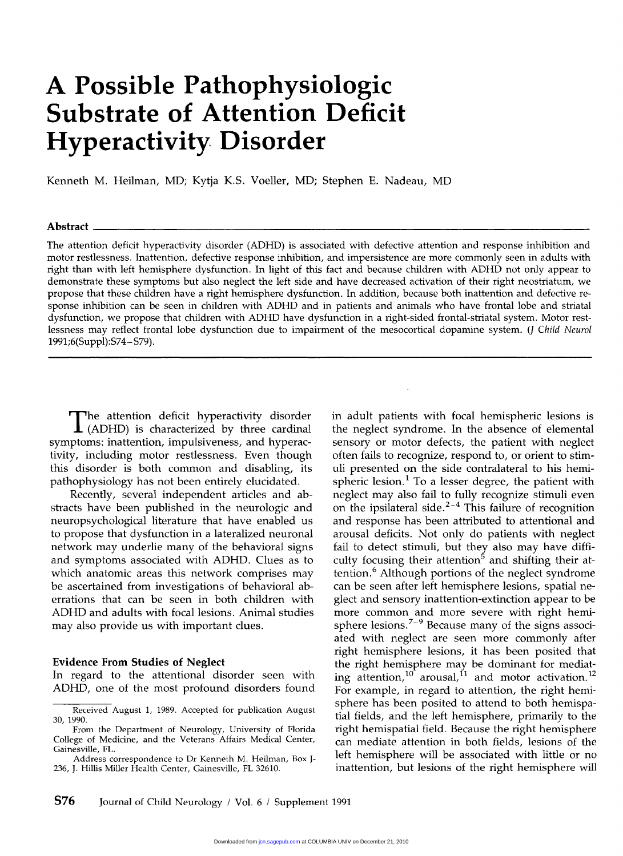# A Possible Pathophysiologic Substrate of Attention Deficit Hyperactivity Disorder

Kenneth M. Heilman, MD; Kytja K.S. Voeller, MD; Stephen E. Nadeau, MD

#### Abstract

The attention deficit hyperactivity disorder (ADHD) is associated with defective attention and response inhibition and motor restlessness. Inattention, defective response inhibition, and impersistence are more commonly seen in adults with right than with left hemisphere dysfunction. In light of this fact and because children with ADHD not only appear to demonstrate these symptoms but also neglect the left side and have decreased activation of their right neostriatum, we propose that these children have a right hemisphere dysfunction. In addition, because both inattention and defective response inhibition can be seen in children with ADHD and in patients and animals who have frontal lobe and striatal dysfunction, we propose that children with ADHD have dysfunction in a right-sided frontal-striatal system. Motor restlessness may reflect frontal lobe dysfunction due to impairment of the mesocortical dopamine system. (J Child Neurol 1991;6(Suppl):S74-S79).

I the attention deficit hyperactivity disorder<br>(ADHD) is characterized by three cardinal symptoms: inattention, impulsiveness, and hyperactivity, including motor restlessness. Even though this disorder is both common and disabling, its pathophysiology has not been entirely elucidated.

Recently, several independent articles and abstracts have been published in the neurologic and neuropsychological literature that have enabled us to propose that dysfunction in a lateralized neuronal network may underlie many of the behavioral signs and symptoms associated with ADHD. Clues as to which anatomic areas this network comprises may be ascertained from investigations of behavioral aberrations that can be seen in both children with ADHD and adults with focal lesions. Animal studies may also provide us with important clues.

#### Evidence From Studies of Neglect

In regard to the attentional disorder seen with ADHD, one of the most profound disorders found in adult patients with focal hemispheric lesions is the neglect syndrome. In the absence of elemental sensory or motor defects, the patient with neglect often fails to recognize, respond to, or orient to stimuli presented on the side contralateral to his hemispheric lesion. $<sup>1</sup>$  To a lesser degree, the patient with</sup> neglect may also fail to fully recognize stimuli even on the ipsilateral side. $2-4$  This failure of recognition and response has been attributed to attentional and arousal deficits. Not only do patients with neglect fail to detect stimuli, but they also may have difficulty focusing their attention<sup>5</sup> and shifting their attention.<sup>6</sup> Although portions of the neglect syndrome can be seen after left hemisphere lesions, spatial neglect and sensory inattention-extinction appear to be more common and more severe with right hemisphere lesions.<sup>7-9</sup> Because many of the signs associated with neglect are seen more commonly after right hemisphere lesions, it has been posited that the right hemisphere may be dominant for mediating attention,<sup>10</sup> arousal,<sup>11</sup> and motor activation.<sup>12</sup> For example, in regard to attention, the right hemisphere has been posited to attend to both hemispatial fields, and the left hemisphere, primarily to the right hemispatial field. Because the right hemisphere can mediate attention in both fields, lesions of the left hemisphere will be associated with little or no inattention, but lesions of the right hemisphere will

Received August 1, 1989. Accepted for publication August 30, 1990.

From the Department of Neurology, University of Florida College of Medicine, and the Veterans Affairs Medical Center, Gainesville, FL.

Address correspondence to Dr Kenneth M. Heilman, Box J-236, J. Hillis Miller Health Center, Gainesville, FL 32610.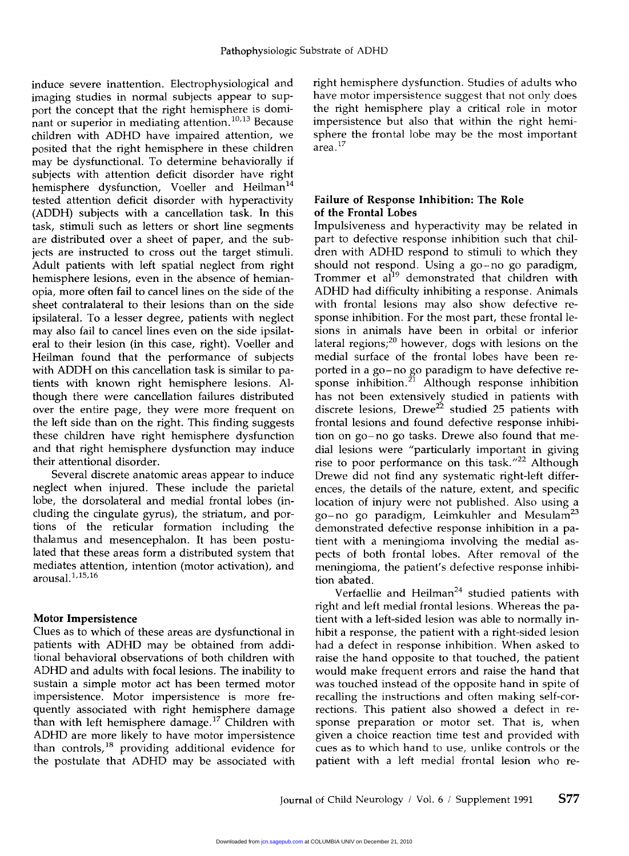induce severe inattention. Electrophysiological and imaging studies in normal subjects appear to support the concept that the right hemisphere is dominant or superior in mediating attention.<sup>10,13</sup> Because children with ADHD have impaired attention, we posited that the right hemisphere in these children may be dysfunctional. To determine behaviorally if subjects with attention deficit disorder have right hemisphere dysfunction, Voeller and Heilman<sup>14</sup> tested attention deficit disorder with hyperactivity (ADDH) subjects with a cancellation task. In this task, stimuli such as letters or short line segments are distributed over a sheet of paper, and the subjects are instructed to cross out the target stimuli. Adult patients with left spatial neglect from right hemisphere lesions, even in the absence of hemianopia, more often fail to cancel lines on the side of the sheet contralateral to their lesions than on the side ipsilateral. To a lesser degree, patients with neglect may also fail to cancel lines even on the side ipsilateral to their lesion (in this case, right). Voeller and Heilman found that the performance of subjects with ADDH on this cancellation task is similar to patients with known right hemisphere lesions. Although there were cancellation failures distributed over the entire page, they were more frequent on the left side than on the right. This finding suggests these children have right hemisphere dysfunction and that right hemisphere dysfunction may induce their attentional disorder.

Several discrete anatomic areas appear to induce neglect when injured. These include the parietal lobe, the dorsolateral and medial frontal lobes (including the cingulate gyrus), the striatum, and portions of the reticular formation including the thalamus and mesencephalon. It has been postulated that these areas form a distributed system that mediates attention, intention (motor activation), and arousal. $1,15,16$ 

#### Motor Impersistence

Clues as to which of these areas are dysfunctional in patients with ADHD may be obtained from additional behavioral observations of both children with ADHD and adults with focal lesions. The inability to sustain a simple motor act has been termed motor impersistence. Motor impersistence is more frequently associated with right hemisphere damage than with left hemisphere damage.<sup>17</sup> Children with ADHD are more likely to have motor impersistence than controls,<sup>18</sup> providing additional evidence for the postulate that ADHD may be associated with

right hemisphere dysfunction. Studies of adults who have motor impersistence suggest that not only does the right hemisphere play a critical role in motor impersistence but also that within the right hemisphere the frontal lobe may be the most important area. 17

## Failure of Response Inhibition: The Role of the Frontal Lobes

Impulsiveness and hyperactivity may be related in part to defective response inhibition such that children with ADHD respond to stimuli to which they should not respond. Using a go-no go paradigm, Trommer et al<sup>19</sup> demonstrated that children with ADHD had difficulty inhibiting a response. Animals with frontal lesions may also show defective response inhibition. For the most part, these frontal lesions in animals have been in orbital or inferior lateral regions; $20$  however, dogs with lesions on the medial surface of the frontal lobes have been reported in a go- no go paradigm to have defective response inhibition. $2^1$  Although response inhibition has not been extensively studied in patients with discrete lesions, Drewe<sup>22</sup> studied 25 patients with frontal lesions and found defective response inhibition on go-no go tasks. Drewe also found that medial lesions were "particularly important in giving rise to poor performance on this task." $22$  Although Drewe did not find any systematic right-left differences, the details of the nature, extent, and specific location of injury were not published. Also using a  $go-no go paradigm, Leimkuhler and Mesulam<sup>23</sup>$ demonstrated defective response inhibition in a patient with a meningioma involving the medial aspects of both frontal lobes. After removal of the meningioma, the patient's defective response inhibition abated.

Verfaellie and Heilman<sup>24</sup> studied patients with right and left medial frontal lesions. Whereas the patient with a left-sided lesion was able to normally inhibit a response, the patient with a right-sided lesion had a defect in response inhibition. When asked to raise the hand opposite to that touched, the patient would make frequent errors and raise the hand that was touched instead of the opposite hand in spite of recalling the instructions and often making self-corrections. This patient also showed a defect in response preparation or motor set. That is, when given a choice reaction time test and provided with cues as to which hand to use, unlike controls or the patient with a left medial frontal lesion who re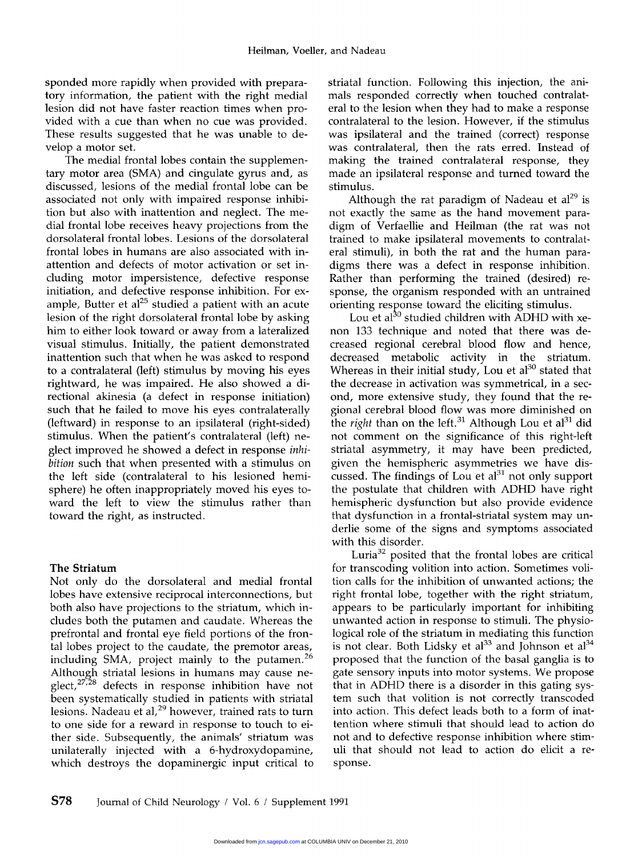sponded more rapidly when provided with preparatory information, the patient with the right medial lesion did not have faster reaction times when provided with a cue than when no cue was provided. These results suggested that he was unable to develop a motor set.

The medial frontal lobes contain the supplementary motor area (SMA) and cingulate gyrus and, as discussed, lesions of the medial frontal lobe can be associated not only with impaired response inhibition but also with inattention and neglect. The medial frontal lobe receives heavy projections from the dorsolateral frontal lobes. Lesions of the dorsolateral frontal lobes in humans are also associated with inattention and defects of motor activation or set including motor impersistence, defective response initiation, and defective response inhibition. For example, Butter et al<sup>25</sup> studied a patient with an acute lesion of the right dorsolateral frontal lobe by asking him to either look toward or away from a lateralized visual stimulus. Initially, the patient demonstrated inattention such that when he was asked to respond to a contralateral (left) stimulus by moving his eyes rightward, he was impaired. He also showed a directional akinesia (a defect in response initiation) such that he failed to move his eyes contralaterally (leftward) in response to an ipsilateral (right-sided) stimulus. When the patient's contralateral (left) neglect improved he showed a defect in response inhibition such that when presented with a stimulus on the left side (contralateral to his lesioned hemisphere) he often inappropriately moved his eyes toward the left to view the stimulus rather than toward the right, as instructed.

#### The Striatum

Not only do the dorsolateral and medial frontal lobes have extensive reciprocal interconnections, but both also have projections to the striatum, which includes both the putamen and caudate. Whereas the prefrontal and frontal eye field portions of the frontal lobes project to the caudate, the premotor areas, including SMA, project mainly to the putamen. $^{26}$ Although striatal lesions in humans may cause neglect, $27.28$  defects in response inhibition have not been systematically studied in patients with striatal lesions. Nadeau et al,<sup>29</sup> however, trained rats to turn to one side for a reward in response to touch to either side. Subsequently, the animals' striatum was unilaterally injected with a 6-hydroxydopamine, which destroys the dopaminergic input critical to striatal function. Following this injection, the animals responded correctly when touched contralateral to the lesion when they had to make a response contralateral to the lesion. However, if the stimulus was ipsilateral and the trained (correct) response was contralateral, then the rats erred. Instead of making the trained contralateral response, they made an ipsilateral response and turned toward the stimulus.

Although the rat paradigm of Nadeau et  $al^{29}$  is not exactly the same as the hand movement paradigm of Verfaellie and Heilman (the rat was not trained to make ipsilateral movements to contralateral stimuli), in both the rat and the human paradigms there was a defect in response inhibition. Rather than performing the trained (desired) response, the organism responded with an untrained orienting response toward the eliciting stimulus.

Lou et al $30$  studied children with ADHD with xenon 133 technique and noted that there was decreased regional cerebral blood flow and hence, decreased metabolic activity in the striatum. Whereas in their initial study, Lou et al<sup>30</sup> stated that the decrease in activation was symmetrical, in a second, more extensive study, they found that the regional cerebral blood flow was more diminished on the *right* than on the left.<sup>31</sup> Although Lou et al<sup>31</sup> did not comment on the significance of this right-left striatal asymmetry, it may have been predicted, given the hemispheric asymmetries we have discussed. The findings of Lou et  $al<sup>31</sup>$  not only support the postulate that children with ADHD have right hemispheric dysfunction but also provide evidence that dysfunction in a frontal-striatal system may underlie some of the signs and symptoms associated with this disorder.

Luria<sup>32</sup> posited that the frontal lobes are critical for transcoding volition into action. Sometimes volition calls for the inhibition of unwanted actions; the right frontal lobe, together with the right striatum, appears to be particularly important for inhibiting unwanted action in response to stimuli. The physiological role of the striatum in mediating this function is not clear. Both Lidsky et  $al^{33}$  and Johnson et  $al^{34}$ proposed that the function of the basal ganglia is to gate sensory inputs into motor systems. We propose that in ADHD there is a disorder in this gating system such that volition is not correctly transcoded into action. This defect leads both to a form of inattention where stimuli that should lead to action do not and to defective response inhibition where stimuli that should not lead to action do elicit a response.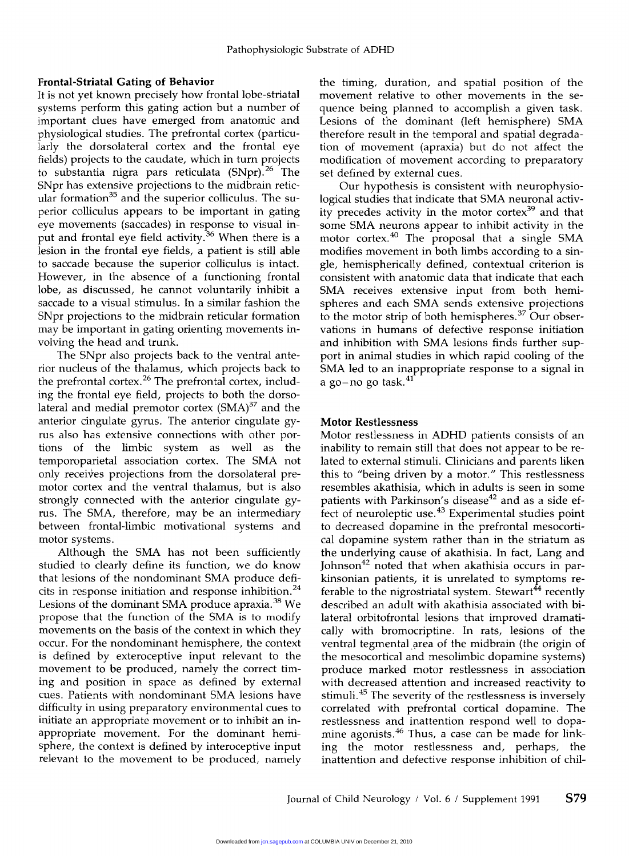# Frontal-Striatal Gating of Behavior

It is not yet known precisely how frontal lobe-striatal systems perform this gating action but a number of important clues have emerged from anatomic and physiological studies. The prefrontal cortex (particularly the dorsolateral cortex and the frontal eye fields) projects to the caudate, which in turn projects to substantia nigra pars reticulata (SNpr).<sup>26</sup> The SNpr has extensive projections to the midbrain reticular formation<sup>35</sup> and the superior colliculus. The superior colliculus appears to be important in gating eye movements (saccades) in response to visual input and frontal eye field activity.<sup>36</sup> When there is a lesion in the frontal eye fields, a patient is still able to saccade because the superior colliculus is intact. However, in the absence of a functioning frontal lobe, as discussed, he cannot voluntarily inhibit a saccade to a visual stimulus. In a similar fashion the SNpr projections to the midbrain reticular formation may be important in gating orienting movements involving the head and trunk.

The SNpr also projects back to the ventral anterior nucleus of the thalamus, which projects back to the prefrontal cortex.<sup>26</sup> The prefrontal cortex, including the frontal eye field, projects to both the dorsolateral and medial premotor cortex  $(SMA)^{37}$  and the anterior cingulate gyrus. The anterior cingulate gyrus also has extensive connections with other portions of the limbic system as well as the temporoparietal association cortex. The SMA not only receives projections from the dorsolateral premotor cortex and the ventral thalamus, but is also strongly connected with the anterior cingulate gyrus. The SMA, therefore, may be an intermediary between frontal-limbic motivational systems and motor systems.

Although the SMA has not been sufficiently studied to clearly define its function, we do know that lesions of the nondominant SMA produce deficits in response initiation and response inhibition.<sup>24</sup> Lesions of the dominant SMA produce apraxia.<sup>38</sup> We propose that the function of the SMA is to modify movements on the basis of the context in which they occur. For the nondominant hemisphere, the context is defined by exteroceptive input relevant to the movement to be produced, namely the correct timing and position in space as defined by external cues. Patients with nondominant SMA lesions have difficulty in using preparatory environmental cues to initiate an appropriate movement or to inhibit an inappropriate movement. For the dominant hemisphere, the context is defined by interoceptive input relevant to the movement to be produced, namely

the timing, duration, and spatial position of the movement relative to other movements in the sequence being planned to accomplish a given task. Lesions of the dominant (left hemisphere) SMA therefore result in the temporal and spatial degradation of movement (apraxia) but do not affect the modification of movement according to preparatory set defined by external cues.

Our hypothesis is consistent with neurophysiological studies that indicate that SMA neuronal activity precedes activity in the motor cortex $39$  and that some SMA neurons appear to inhibit activity in the motor cortex.<sup>40</sup> The proposal that a single SMA modifies movement in both limbs according to a single, hemispherically defined, contextual criterion is consistent with anatomic data that indicate that each SMA receives extensive input from both hemispheres and each SMA sends extensive projections to the motor strip of both hemispheres. $a^{37}$  Our observations in humans of defective response initiation and inhibition with SMA lesions finds further support in animal studies in which rapid cooling of the SMA led to an inappropriate response to a signal in a go-no go task.<sup>41</sup>

# Motor Restlessness

Motor restlessness in ADHD patients consists of an inability to remain still that does not appear to be related to external stimuli. Clinicians and parents liken this to "being driven by a motor." This restlessness resembles akathisia, which in adults is seen in some patients with Parkinson's disease<sup>42</sup> and as a side effect of neuroleptic use.<sup>43</sup> Experimental studies point to decreased dopamine in the prefrontal mesocortical dopamine system rather than in the striatum as the underlying cause of akathisia. In fact, Lang and Johnson<sup>42</sup> noted that when akathisia occurs in parkinsonian patients, it is unrelated to symptoms referable to the nigrostriatal system. Stewart $^{44}$  recently described an adult with akathisia associated with bilateral orbitofrontal lesions that improved dramatically with bromocriptine. In rats, lesions of the ventral tegmental area of the midbrain (the origin of the mesocortical and mesolimbic dopamine systems) produce marked motor restlessness in association with decreased attention and increased reactivity to stimuli.<sup>45</sup> The severity of the restlessness is inversely correlated with prefrontal cortical dopamine. The restlessness and inattention respond well to dopamine agonists.<sup>46</sup> Thus, a case can be made for linking the motor restlessness and, perhaps, the inattention and defective response inhibition of chil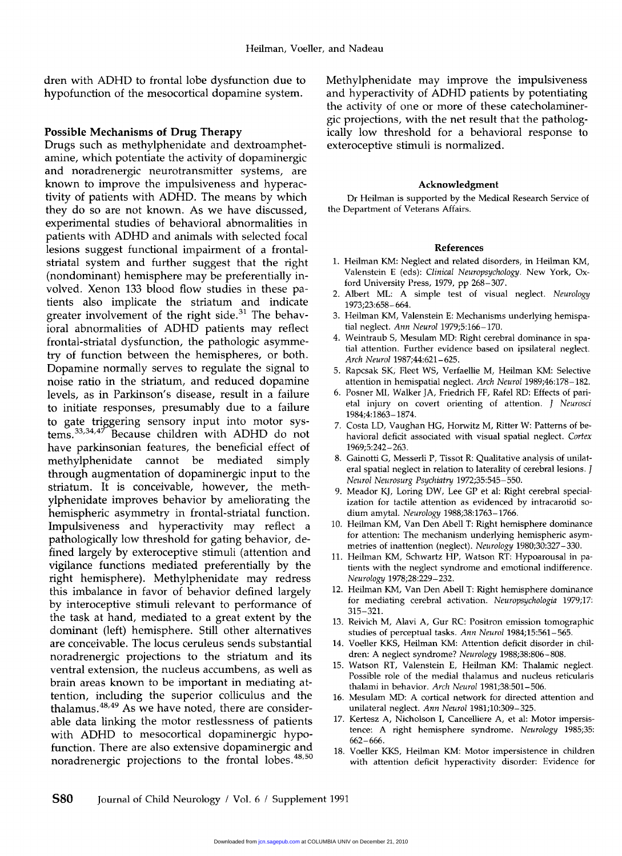dren with ADHD to frontal lobe dysfunction due to hypofunction of the mesocortical dopamine system.

#### Possible Mechanisms of Drug Therapy

Drugs such as methylphenidate and dextroamphetamine, which potentiate the activity of dopaminergic and noradrenergic neurotransmitter systems, are known to improve the impulsiveness and hyperactivity of patients with ADHD. The means by which they do so are not known. As we have discussed, experimental studies of behavioral abnormalities in patients with ADHD and animals with selected focal lesions suggest functional impairment of a frontalstriatal system and further suggest that the right (nondominant) hemisphere may be preferentially involved. Xenon 133 blood flow studies in these patients also implicate the striatum and indicate greater involvement of the right side. $31$  The behavioral abnormalities of ADHD patients may reflect frontal-striatal dysfunction, the pathologic asymmetry of function between the hemispheres, or both. Dopamine normally serves to regulate the signal to noise ratio in the striatum, and reduced dopamine levels, as in Parkinson's disease, result in a failure to initiate responses, presumably due to a failure to gate triggering sensory input into motor systems. 33,34,47 Because children with ADHD do not have parkinsonian features, the beneficial effect of methylphenidate cannot be mediated simply through augmentation of dopaminergic input to the striatum. It is conceivable, however, the methylphenidate improves behavior by ameliorating the hemispheric asymmetry in frontal-striatal function. Impulsiveness and hyperactivity may reflect a pathologically low threshold for gating behavior, defined largely by exteroceptive stimuli (attention and vigilance functions mediated preferentially by the right hemisphere). Methylphenidate may redress this imbalance in favor of behavior defined largely by interoceptive stimuli relevant to performance of the task at hand, mediated to a great extent by the dominant (left) hemisphere. Still other alternatives are conceivable. The locus ceruleus sends substantial noradrenergic projections to the striatum and its ventral extension, the nucleus accumbens, as well as brain areas known to be important in mediating attention, including the superior colliculus and the thalamus.<sup>48,49</sup> As we have noted, there are considerable data linking the motor restlessness of patients with ADHD to mesocortical dopaminergic hypofunction. There are also extensive dopaminergic and noradrenergic projections to the frontal lobes.  $48,50$  Methylphenidate may improve the impulsiveness and hyperactivity of ADHD patients by potentiating the activity of one or more of these catecholaminergic projections, with the net result that the pathologically low threshold for a behavioral response to exteroceptive stimuli is normalized.

#### Acknowledgment

Dr Heilman is supported by the Medical Research Service of the Department of Veterans Affairs.

#### References

- 1. Heilman KM: Neglect and related disorders, in Heilman KM, Valenstein E (eds): Clinical Neuropsychology. New York, Oxford University Press, 1979, pp 268-307.
- 2. Albert ML: A simple test of visual neglect. Neurology 1973;23:658-664.
- 3. Heilman KM, Valenstein E: Mechanisms underlying hemispatial neglect. Ann Neurol 1979;5:166-170.
- 4. Weintraub S, Mesulam MD: Right cerebral dominance in spatial attention. Further evidence based on ipsilateral neglect. Arch Neurol 1987:44:621-625.
- 5. Rapcsak SK, Fleet WS, Verfaellie M, Heilman KM: Selective attention in hemispatial neglect. Arch Neurol 1989;46:178-182.
- 6. Posner MI, Walker JA, Friedrich FF, Rafel RD: Effects of parietal injury on covert orienting of attention. J Neurosci 1984;4:1863-1874.
- 7. Costa LD, Vaughan HG, Horwitz M, Ritter W: Patterns of behavioral deficit associated with visual spatial neglect. Cortex 1969;5:242-263.
- 8. Gainotti G, Messerli P, Tissot R: Qualitative analysis of unilateral spatial neglect in relation to laterality of cerebral lesions. J Neurol Neurosurg Psychiatry 1972;35:545-550.
- 9. Meador KJ, Loring DW, Lee GP et al: Right cerebral specialization for tactile attention as evidenced by intracarotid sodium amytal. Neurology 1988;38:1763-1766.
- 10. Heilman KM, Van Den Abell T: Right hemisphere dominance for attention: The mechanism underlying hemispheric asymmetries of inattention (neglect). Neurology 1980;30:327-330.
- 11. Heilman KM, Schwartz HP, Watson RT: Hypoarousal in patients with the neglect syndrome and emotional indifference. Neurology 1978;28:229-232.
- 12. Heilman KM, Van Den Abell T: Right hemisphere dominance for mediating cerebral activation. Neuropsychologia 1979;17: 315-321.
- 13. Reivich M, Alavi A, Gur RC: Positron emission tomographic studies of perceptual tasks. Ann Neurol 1984;15:561-565.
- 14. Voeller KKS, Heilman KM: Attention deficit disorder in children: A neglect syndrome? Neurology 1988;38:806-808.
- 15. Watson RT, Valenstein E, Heilman KM: Thalamic neglect. Possible role of the medial thalamus and nucleus reticularis thalami in behavior. Arch Neurol 1981;38:501-506.
- 16. Mesulam MD: A cortical network for directed attention and unilateral neglect. Ann Neurol 1981;10:309-325.<br>17. Kertesz A, Nicholson I, Cancelliere A, et al: Motor impersis-
- tence: A right hemisphere syndrome. Neurology 1985;35: 662-666.
- 18. Voeller KKS, Heilman KM: Motor impersistence in children with attention deficit hyperactivity disorder: Evidence for